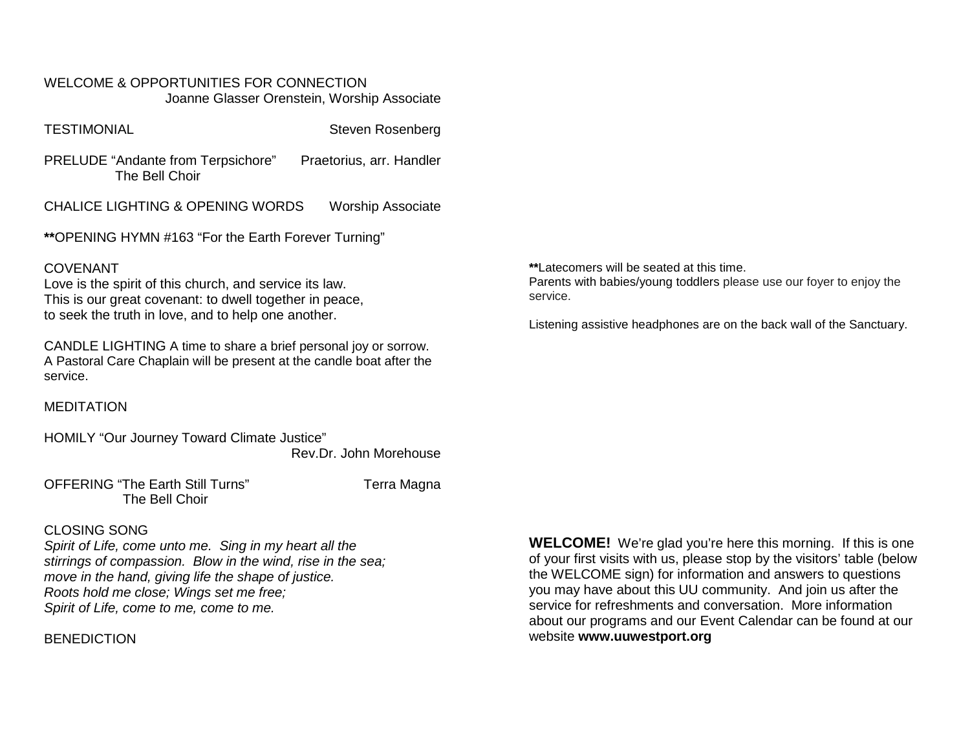WELCOME & OPPORTUNITIES FOR CONNECTION Joanne Glasser Orenstein, Worship Associate

TESTIMONIAL Steven Rosenberg

PRELUDE "Andante from Terpsichore" Praetorius, arr. Handler The Bell Choir

CHALICE LIGHTING & OPENING WORDS Worship Associate

**\*\***OPENING HYMN #163 "For the Earth Forever Turning"

#### COVENANT

Love is the spirit of this church, and service its law. This is our great covenant: to dwell together in peace, to seek the truth in love, and to help one another.

CANDLE LIGHTING A time to share a brief personal joy or sorrow. A Pastoral Care Chaplain will be present at the candle boat after the service.

MEDITATION

HOMILY "Our Journey Toward Climate Justice" Rev.Dr. John Morehouse

OFFERING "The Earth Still Turns" Terra Magna The Bell Choir

## CLOSING SONG

*Spirit of Life, come unto me. Sing in my heart all the stirrings of compassion. Blow in the wind, rise in the sea; move in the hand, giving life the shape of justice. Roots hold me close; Wings set me free; Spirit of Life, come to me, come to me.*

## **BENEDICTION**

**WELCOME!** We're glad you're here this morning. If this is one of your first visits with us, please stop by the visitors' table (below the WELCOME sign) for information and answers to questions you may have about this UU community. And join us after the service for refreshments and conversation. More information about our programs and our Event Calendar can be found at our website **[www.uuwestport.org](http://www.uuwestport.org/)**

**\*\***Latecomers will be seated at this time. Parents with babies/young toddlers please use our foyer to enjoy the service.

Listening assistive headphones are on the back wall of the Sanctuary.